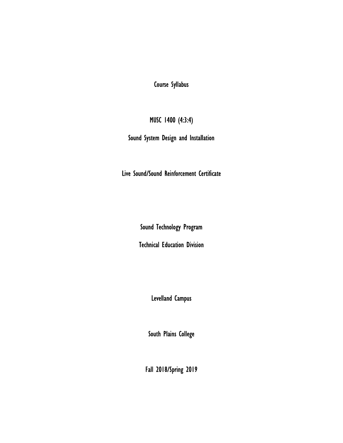Course Syllabus

MUSC 1400 (4:3:4)

Sound System Design and Installation

Live Sound/Sound Reinforcement Certificate

Sound Technology Program

Technical Education Division

Levelland Campus

South Plains College

Fall 2018/Spring 2019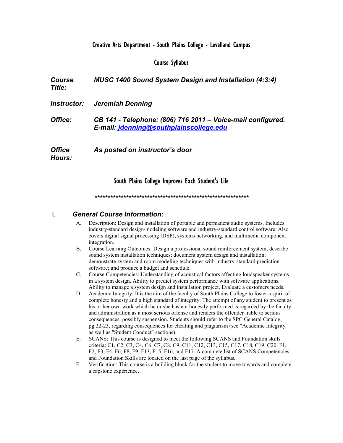# Creative Arts Department - South Plains College - Levelland Campus

### Course Syllabus

**Course** Title: MUSC 1400 Sound System Design and Installation (4:3:4) Instructor: Jeremiah Denning Office: CB 141 - Telephone: (806) 716 2011 – Voice-mail configured. E-mail: jdenning@southplainscollege.edu **Office** As posted on instructor's door

### South Plains College Improves Each Student's Life

#### \*\*\*\*\*\*\*\*\*\*\*\*\*\*\*\*\*\*\*\*\*\*\*\*\*\*\*\*\*\*\*\*\*\*\*\*\*\*\*\*\*\*\*\*\*\*\*\*\*\*\*\*\*\*\*\*\*\*\*

### I. General Course Information:

Hours:

- A. Description: Design and installation of portable and permanent audio systems. Includes industry-standard design/modeling software and industry-standard control software. Also covers digital signal processing (DSP), systems networking, and multimedia component integration.
- B. Course Learning Outcomes: Design a professional sound reinforcement system; describe sound system installation techniques; document system design and installation; demonstrate system and room modeling techniques with industry-standard prediction software; and produce a budget and schedule.
- C. Course Competencies: Understanding of acoustical factors affecting loudspeaker systems in a system design. Ability to predict system performance with software applications. Ability to manage a system design and installation project. Evaluate a customers needs.
- D. Academic Integrity: It is the aim of the faculty of South Plains College to foster a spirit of complete honesty and a high standard of integrity. The attempt of any student to present as his or her own work which he or she has not honestly performed is regarded by the faculty and administration as a most serious offense and renders the offender liable to serious consequences, possibly suspension. Students should refer to the SPC General Catalog, pg.22-23, regarding consequences for cheating and plagiarism (see "Academic Integrity" as well as "Student Conduct" sections).
- E. SCANS: This course is designed to meet the following SCANS and Foundation skills criteria: C1, C2, C3, C4, C6, C7, C8, C9, C11, C12, C13, C15, C17, C18, C19, C20, F1, F2, F3, F4, F6, F8, F9, F13, F15, F16, and F17. A complete list of SCANS Competencies and Foundation Skills are located on the last page of the syllabus.
- F. Verification: This course is a building block for the student to move towards and complete a capstone experience.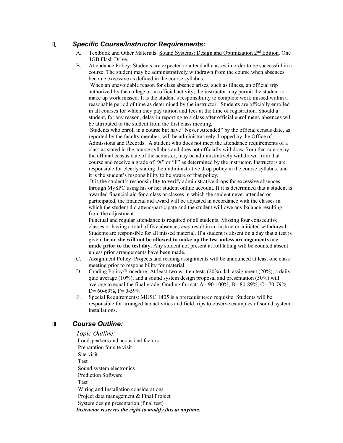# II. Specific Course/Instructor Requirements:

- A. Textbook and Other Materials: Sound Systems: Design and Optimization  $2<sup>nd</sup>$  Edition. One 4GB Flash Drive.
- B. Attendance Policy: Students are expected to attend all classes in order to be successful in a course. The student may be administratively withdrawn from the course when absences become excessive as defined in the course syllabus.

 When an unavoidable reason for class absence arises, such as illness, an official trip authorized by the college or an official activity, the instructor may permit the student to make up work missed. It is the student's responsibility to complete work missed within a reasonable period of time as determined by the instructor. Students are officially enrolled in all courses for which they pay tuition and fees at the time of registration. Should a student, for any reason, delay in reporting to a class after official enrollment, absences will be attributed to the student from the first class meeting.

 Students who enroll in a course but have "Never Attended" by the official census date, as reported by the faculty member, will be administratively dropped by the Office of Admissions and Records. A student who does not meet the attendance requirements of a class as stated in the course syllabus and does not officially withdraw from that course by the official census date of the semester, may be administratively withdrawn from that course and receive a grade of "X" or "F" as determined by the instructor. Instructors are responsible for clearly stating their administrative drop policy in the course syllabus, and it is the student's responsibility to be aware of that policy.

 It is the student's responsibility to verify administrative drops for excessive absences through MySPC using his or her student online account. If it is determined that a student is awarded financial aid for a class or classes in which the student never attended or participated, the financial aid award will be adjusted in accordance with the classes in which the student did attend/participate and the student will owe any balance resulting from the adjustment.

Punctual and regular attendance is required of all students. Missing four consecutive classes or having a total of five absences may result in an instructor-initiated withdrawal. Students are responsible for all missed material. If a student is absent on a day that a test is given, he or she will not be allowed to make up the test unless arrangements are made prior to the test day. Any student not present at roll taking will be counted absent unless prior arrangements have been made.

- C. Assignment Policy: Projects and reading assignments will be announced at least one class meeting prior to responsibility for material.
- D. Grading Policy/Procedure: At least two written tests (20%), lab assignment (20%), a daily quiz average (10%), and a sound system design proposal and presentation (50%) will average to equal the final grade. Grading format:  $A = 90-100\%$ ,  $B = 80-89\%$ ,  $C = 70-79\%$ , D=  $60-69\%$ , F= 0-59%
- E. Special Requirements: MUSC 1405 is a prerequisite/co requisite. Students will be responsible for arranged lab activities and field trips to observe examples of sound system installations.

# III. Course Outline:

Topic Outline: Loudspeakers and acoustical factors Preparation for site visit Site visit Test Sound system electronics Prediction Software Test Wiring and Installation considerations Project data management & Final Project System design presentation (final test) Instructor reserves the right to modify this at anytime.